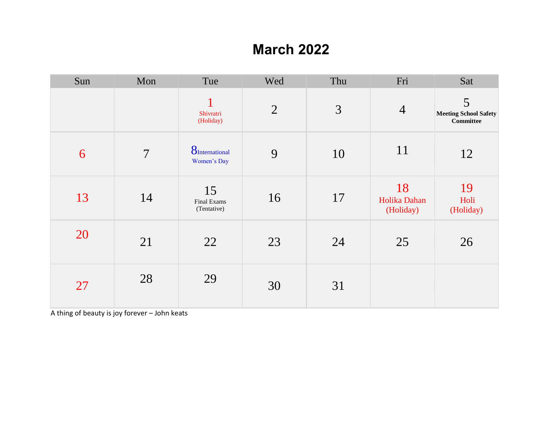### **March 2022**

| Sun | Mon            | Tue                                    | Wed            | Thu | Fri                             | Sat                                                   |
|-----|----------------|----------------------------------------|----------------|-----|---------------------------------|-------------------------------------------------------|
|     |                | $\mathbf{1}$<br>Shivratri<br>(Holiday) | $\overline{2}$ | 3   | $\overline{4}$                  | 5<br><b>Meeting School Safety</b><br><b>Committee</b> |
| 6   | $\overline{7}$ | <b>8</b> International<br>Women's Day  | 9              | 10  | 11                              | 12                                                    |
| 13  | 14             | 15<br>Final Exams<br>(Tentative)       | 16             | 17  | 18<br>Holika Dahan<br>(Holiday) | 19<br>Holi<br>(Holiday)                               |
| 20  | 21             | 22                                     | 23             | 24  | 25                              | 26                                                    |
| 27  | 28             | 29                                     | 30             | 31  |                                 |                                                       |

A thing of beauty is joy forever – John keats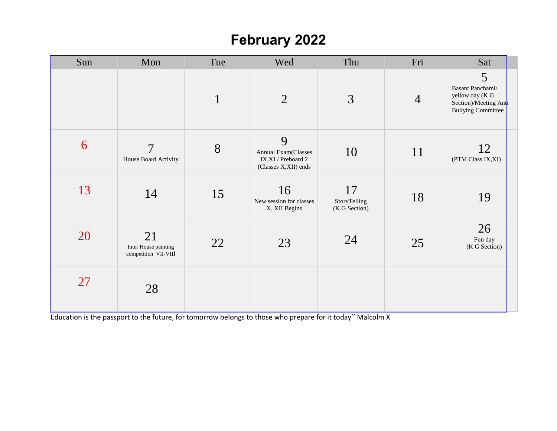## **February 2022**

| Sun | Mon                                                | Tue          | Wed                                                                    | Thu                                 | Fri            | Sat                                                                                            |  |
|-----|----------------------------------------------------|--------------|------------------------------------------------------------------------|-------------------------------------|----------------|------------------------------------------------------------------------------------------------|--|
|     |                                                    | $\mathbf{1}$ | $\overline{2}$                                                         | 3                                   | $\overline{4}$ | 5<br>Basant Panchami/<br>yellow day (K G<br>Section)/Meeting Anti<br><b>Bullying Committee</b> |  |
| 6   | 7<br>House Board Activity                          | 8            | 9<br>Annual Exam(Classes<br>IX,XI / Preboard 2<br>(Classes X,XII) ends | 10                                  | 11             | 12<br>(PTM Class IX, XI)                                                                       |  |
| 13  | 14                                                 | 15           | 16<br>New session for classes<br>X, XII Begins                         | 17<br>StoryTelling<br>(K G Section) | 18             | 19                                                                                             |  |
| 20  | 21<br>Inter House painting<br>competition VII-VIII | 22           | 23                                                                     | 24                                  | 25             | 26<br>Fun day<br>(K G Section)                                                                 |  |
| 27  | 28                                                 |              |                                                                        |                                     |                |                                                                                                |  |

Education is the passport to the future, for tomorrow belongs to those who prepare for it today'' Malcolm X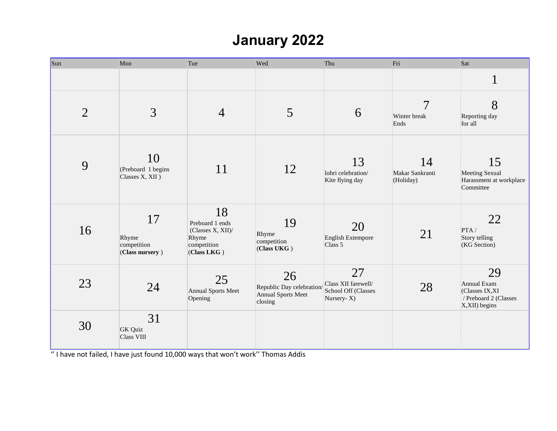# **January 2022**

| Sun            | Mon                                           | Tue                                                                               | Wed                                                                    | Thu                                                            | Fri                                    | Sat                                                                             |
|----------------|-----------------------------------------------|-----------------------------------------------------------------------------------|------------------------------------------------------------------------|----------------------------------------------------------------|----------------------------------------|---------------------------------------------------------------------------------|
|                |                                               |                                                                                   |                                                                        |                                                                |                                        | $\mathbf 1$<br>$\bf{l}$                                                         |
| $\overline{2}$ | 3                                             | $\overline{4}$                                                                    | 5                                                                      | 6                                                              | $\overline{7}$<br>Winter break<br>Ends | 8<br>Reporting day<br>for all                                                   |
| 9              | 10<br>(Preboard 1 begins<br>Classes X, XII)   | 11                                                                                | 12                                                                     | 13<br>lohri celebration/<br>Kite flying day                    | 14<br>Makar Sankranti<br>(Holiday)     | 15<br><b>Meeting Sexual</b><br>Harassment at workplace<br>Committee             |
| 16             | 17<br>Rhyme<br>competition<br>(Class nursery) | 18<br>Preboard 1 ends<br>(Classes X, XII)/<br>Rhyme<br>competition<br>(Class LKG) | 19<br>Rhyme<br>competition<br>(Class UKG)                              | 20<br><b>English Extempore</b><br>Class 5                      | 21                                     | 22<br>PTA/<br>Story telling<br>(KG Section)                                     |
| 23             | 24                                            | 25<br>Annual Sports Meet<br>Opening                                               | 26<br>Republic Day celebration<br><b>Annual Sports Meet</b><br>closing | 27<br>Class XII farewell/<br>School Off (Classes<br>Nursery-X) | 28                                     | 29<br>Annual Exam<br>(Classes IX, XI<br>/ Preboard 2 (Classes<br>X, XII) begins |
| 30             | 31<br><b>GK</b> Quiz<br>Class VIII            |                                                                                   |                                                                        |                                                                |                                        |                                                                                 |

'' I have not failed, I have just found 10,000 ways that won't work'' Thomas Addis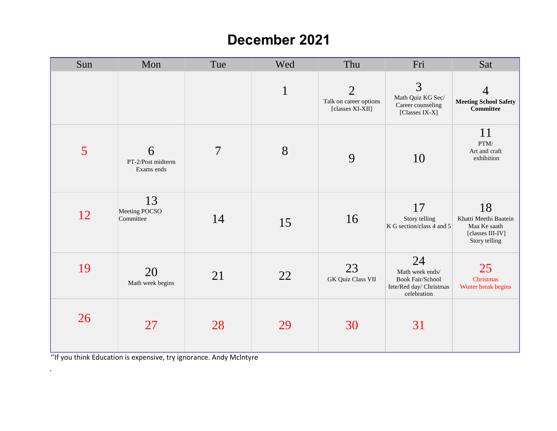#### **December 2021**

| Sun | Mon                                  | Tue            | Wed          | Thu                                                          | Fri                                                                                        | Sat                                                                              |
|-----|--------------------------------------|----------------|--------------|--------------------------------------------------------------|--------------------------------------------------------------------------------------------|----------------------------------------------------------------------------------|
|     |                                      |                | $\mathbf{1}$ | $\overline{2}$<br>Talk on career options<br>[classes XI-XII] | 3<br>Math Quiz KG Sec/<br>Career counseling<br>[Classes IX-X]                              | $\overline{4}$<br><b>Meeting School Safety</b><br><b>Committee</b>               |
| 5   | 6<br>PT-2/Post midterm<br>Exams ends | $\overline{7}$ | 8            | 9                                                            | 10                                                                                         | 11<br>$\text{PTM}/$<br>Art and craft<br>exhibition                               |
| 12  | 13<br>Meeting POCSO<br>Committee     | 14             | 15           | 16                                                           | 17<br>Story telling<br>K G section/class 4 and 5                                           | 18<br>Khatti Meethi Baatein<br>Maa Ke saath<br>[classes III-IV]<br>Story telling |
| 19  | 20<br>Math week begins               | 21             | 22           | 23<br><b>GK Quiz Class VII</b>                               | 24<br>Math week ends/<br><b>Book Fair/School</b><br>fete/Red day/ Christmas<br>celebration | 25<br>Christmas<br>Winter break begins                                           |
| 26  | 27                                   | 28             | 29           | 30                                                           | 31                                                                                         |                                                                                  |

''If you think Education is expensive, try ignorance. Andy Mclntyre

 $\Delta \sim$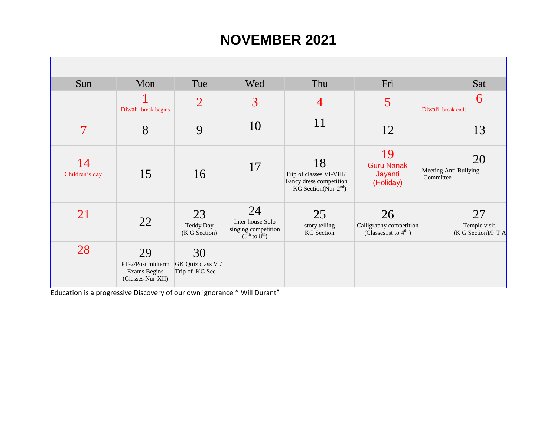#### **NOVEMBER 2021**

| Sun                  | Mon                                                          | Tue                                       | Wed                                                                                   | Thu                                                                                  | Fri                                                               | Sat                                       |
|----------------------|--------------------------------------------------------------|-------------------------------------------|---------------------------------------------------------------------------------------|--------------------------------------------------------------------------------------|-------------------------------------------------------------------|-------------------------------------------|
|                      | Diwali break begins                                          | $\overline{2}$                            | 3                                                                                     | $\overline{4}$                                                                       | 5                                                                 | 6<br>Diwali break ends                    |
| 7                    | 8                                                            | 9                                         | 10                                                                                    | 11                                                                                   | 12                                                                | 13                                        |
| 14<br>Children's day | 15                                                           | 16                                        | 17                                                                                    | 18<br>Trip of classes VI-VIII/<br>Fancy dress competition<br>KG Section(Nur- $2nd$ ) | 19<br><b>Guru Nanak</b><br>Jayanti<br>(Holiday)                   | 20<br>Meeting Anti Bullying<br>Committee  |
| 21                   | 22                                                           | 23<br>Teddy Day<br>(K G Section)          | 24<br>Inter house Solo<br>singing competition<br>$(5^{\text{th}}$ to $8^{\text{th}})$ | 25<br>story telling<br><b>KG</b> Section                                             | 26<br>Calligraphy competition<br>(Classes1st to $4^{\text{th}}$ ) | 27<br>Temple visit<br>(K G Section)/P T A |
| 28                   | 29<br>PT-2/Post midterm<br>Exams Begins<br>(Classes Nur-XII) | 30<br>GK Quiz class VI/<br>Trip of KG Sec |                                                                                       |                                                                                      |                                                                   |                                           |

Education is a progressive Discovery of our own ignorance '' Will Durant"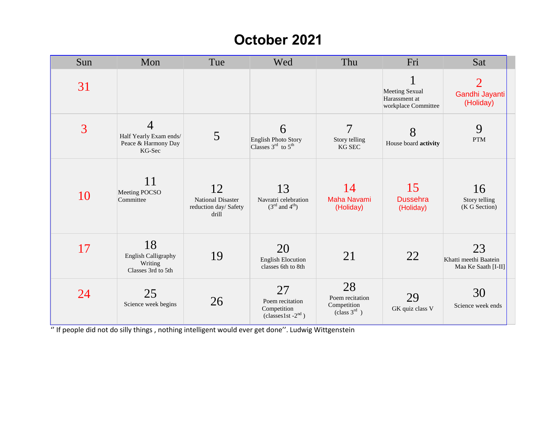#### **October 2021**

| Sun | Mon                                                                       | Tue                                                              | Wed                                                                           | Thu                                                              | Fri                                                           | Sat                                                  |
|-----|---------------------------------------------------------------------------|------------------------------------------------------------------|-------------------------------------------------------------------------------|------------------------------------------------------------------|---------------------------------------------------------------|------------------------------------------------------|
| 31  |                                                                           |                                                                  |                                                                               |                                                                  | <b>Meeting Sexual</b><br>Harassment at<br>workplace Committee | $\mathcal{D}_{\cdot}$<br>Gandhi Jayanti<br>(Holiday) |
| 3   | $\overline{4}$<br>Half Yearly Exam ends/<br>Peace & Harmony Day<br>KG-Sec | 5                                                                | 6<br><b>English Photo Story</b><br>Classes $3^{\text{rd}}$ to $5^{\text{th}}$ | 7<br>Story telling<br><b>KG SEC</b>                              | 8<br>House board activity                                     | 9<br><b>PTM</b>                                      |
| 10  | 11<br>Meeting POCSO<br>Committee                                          | 12<br><b>National Disaster</b><br>reduction day/ Safety<br>drill | 13<br>Navratri celebration<br>$(3^{\text{rd}}$ and $4^{\text{th}})$           | 14<br><b>Maha Navami</b><br>(Holiday)                            | 15<br><b>Dussehra</b><br>(Holiday)                            | 16<br>Story telling<br>(K G Section)                 |
| 17  | 18<br><b>English Calligraphy</b><br>Writing<br>Classes 3rd to 5th         | 19                                                               | 20<br><b>English Elocution</b><br>classes 6th to 8th                          | 21                                                               | 22                                                            | 23<br>Khatti meethi Baatein<br>Maa Ke Saath [I-II]   |
| 24  | 25<br>Science week begins                                                 | 26                                                               | 27<br>Poem recitation<br>Competition<br>$\text{(classes1st -2}^{\text{nd}})$  | 28<br>Poem recitation<br>Competition<br>(class 3 <sup>rd</sup> ) | 29<br>GK quiz class V                                         | 30<br>Science week ends                              |

'' If people did not do silly things , nothing intelligent would ever get done''. Ludwig Wittgenstein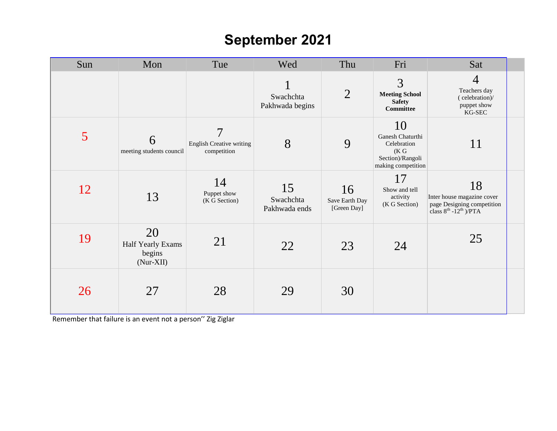## **September 2021**

| Sun | Mon                                            | Tue                                                              | Wed                              | Thu                                 | Fri                                                                                      | Sat                                                                                                      |  |
|-----|------------------------------------------------|------------------------------------------------------------------|----------------------------------|-------------------------------------|------------------------------------------------------------------------------------------|----------------------------------------------------------------------------------------------------------|--|
|     |                                                |                                                                  | Swachchta<br>Pakhwada begins     | $\overline{2}$                      | 3<br><b>Meeting School</b><br><b>Safety</b><br><b>Committee</b>                          | $\overline{4}$<br>Teachers day<br>(celebration)/<br>puppet show<br>KG-SEC                                |  |
| 5   | 6<br>meeting students council                  | $\overline{7}$<br><b>English Creative writing</b><br>competition | 8                                | 9                                   | 10<br>Ganesh Chaturthi<br>Celebration<br>(K G)<br>Section)/Rangoli<br>making competition | 11                                                                                                       |  |
| 12  | 13                                             | 14<br>Puppet show<br>(K G Section)                               | 15<br>Swachchta<br>Pakhwada ends | 16<br>Save Earth Day<br>[Green Day] | 17<br>Show and tell<br>activity<br>(K G Section)                                         | 18<br>Inter house magazine cover<br>page Designing competition<br>class $8^{th}$ -12 <sup>th</sup> )/PTA |  |
| 19  | 20<br>Half Yearly Exams<br>begins<br>(Nur-XII) | 21                                                               | 22                               | 23                                  | 24                                                                                       | 25                                                                                                       |  |
| 26  | 27                                             | 28                                                               | 29                               | 30                                  |                                                                                          |                                                                                                          |  |

Remember that failure is an event not a person'' Zig Ziglar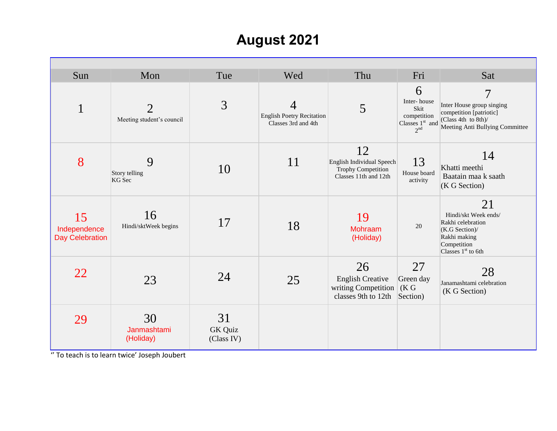## **August 2021**

| Sun                                          | Mon                                         | Tue                         | Wed                                                          | Thu                                                                                   | Fri                                                                             | Sat                                                                                                                              |
|----------------------------------------------|---------------------------------------------|-----------------------------|--------------------------------------------------------------|---------------------------------------------------------------------------------------|---------------------------------------------------------------------------------|----------------------------------------------------------------------------------------------------------------------------------|
| $\mathbf{1}$                                 | $\overline{2}$<br>Meeting student's council | 3                           | 4<br><b>English Poetry Recitation</b><br>Classes 3rd and 4th | 5                                                                                     | 6<br>Inter-house<br>Skit<br>competition<br>Classes $1st$ and<br>2 <sup>nd</sup> | $\overline{7}$<br>Inter House group singing<br>competition [patriotic]<br>(Class 4th to 8th)/<br>Meeting Anti Bullying Committee |
| 8                                            | 9<br>Story telling<br>KG Sec                | 10                          | 11                                                           | 12<br>English Individual Speech<br><b>Trophy Competition</b><br>Classes 11th and 12th | 13<br>House board<br>activity                                                   | 14<br>Khatti meethi<br>Baatain maa k saath<br>(K G Section)                                                                      |
| 15<br>Independence<br><b>Day Celebration</b> | 16<br>Hindi/sktWeek begins                  | 17                          | 18                                                           | 19<br>Mohraam<br>(Holiday)                                                            | 20                                                                              | 21<br>Hindi/skt Week ends/<br>Rakhi celebration<br>(K.G Section)/<br>Rakhi making<br>Competition<br>Classes $1st$ to 6th         |
| 22                                           | 23                                          | 24                          | 25                                                           | 26<br><b>English Creative</b><br>writing Competition<br>classes 9th to 12th           | 27<br>Green day<br>(K G)<br>Section)                                            | 28<br>Janamashtami celebration<br>(K G Section)                                                                                  |
| 29                                           | 30<br>Janmashtami<br>(Holiday)              | 31<br>GK Quiz<br>(Class IV) |                                                              |                                                                                       |                                                                                 |                                                                                                                                  |

'' To teach is to learn twice' Joseph Joubert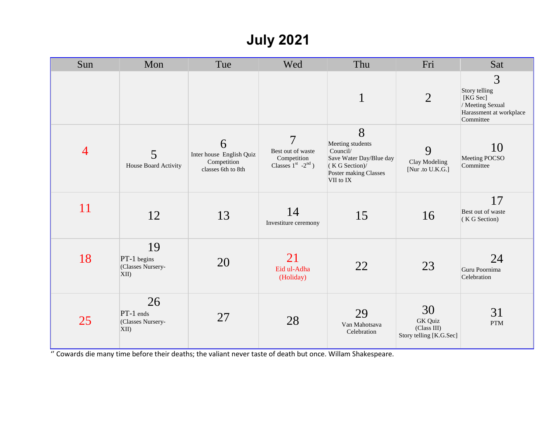# **July 2021**

| Sun            | Mon                                                    | Tue                                                                | Wed                                                                                       | Thu                                                                                                                 | Fri                                                            | Sat                                                                                        |
|----------------|--------------------------------------------------------|--------------------------------------------------------------------|-------------------------------------------------------------------------------------------|---------------------------------------------------------------------------------------------------------------------|----------------------------------------------------------------|--------------------------------------------------------------------------------------------|
|                |                                                        |                                                                    |                                                                                           | $\mathbf{1}$                                                                                                        | $\overline{2}$                                                 | 3<br>Story telling<br>[KG Sec]<br>/ Meeting Sexual<br>Harassment at workplace<br>Committee |
| $\overline{4}$ | 5<br>House Board Activity                              | 6<br>Inter house English Quiz<br>Competition<br>classes 6th to 8th | $\overline{7}$<br>Best out of waste<br>Competition<br>Classes $1^{st}$ -2 <sup>nd</sup> ) | 8<br>Meeting students<br>Council/<br>Save Water Day/Blue day<br>(K G Section)<br>Poster making Classes<br>VII to IX | 9<br>Clay Modeling<br>[Nur .to U.K.G.]                         | 10<br>Meeting POCSO<br>Committee                                                           |
| 11             | 12                                                     | 13                                                                 | 14<br>Investiture ceremony                                                                | 15                                                                                                                  | 16                                                             | 17<br>Best out of waste<br>(K G Section)                                                   |
| 18             | 19<br>PT-1 begins<br>(Classes Nursery-<br>$\vert$ XII) | 20                                                                 | 21<br>Eid ul-Adha<br>(Holiday)                                                            | 22                                                                                                                  | 23                                                             | 24<br>Guru Poornima<br>Celebration                                                         |
| 25             | 26<br>PT-1 ends<br>(Classes Nursery-<br>$\vert$ XII)   | 27                                                                 | 28                                                                                        | 29<br>Van Mahotsava<br>Celebration                                                                                  | 30<br><b>GK</b> Quiz<br>(Class III)<br>Story telling [K.G.Sec] | 31<br><b>PTM</b>                                                                           |

'' Cowards die many time before their deaths; the valiant never taste of death but once. Willam Shakespeare.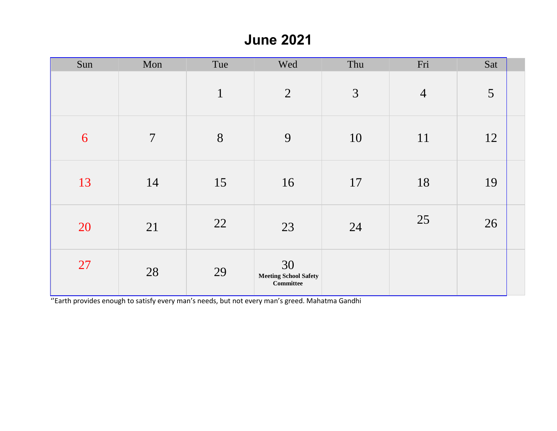#### **June 2021**

| Sun | Mon            | Tue          | Wed                                             | Thu            | Fri            | Sat |  |
|-----|----------------|--------------|-------------------------------------------------|----------------|----------------|-----|--|
|     |                | $\mathbf{1}$ | 2                                               | $\mathfrak{Z}$ | $\overline{4}$ | 5   |  |
| 6   | $\overline{7}$ | 8            | 9                                               | 10             | 11             | 12  |  |
| 13  | 14             | 15           | 16                                              | 17             | 18             | 19  |  |
| 20  | 21             | 22           | 23                                              | 24             | 25             | 26  |  |
| 27  | 28             | 29           | 30<br><b>Meeting School Safety</b><br>Committee |                |                |     |  |

''Earth provides enough to satisfy every man's needs, but not every man's greed. Mahatma Gandhi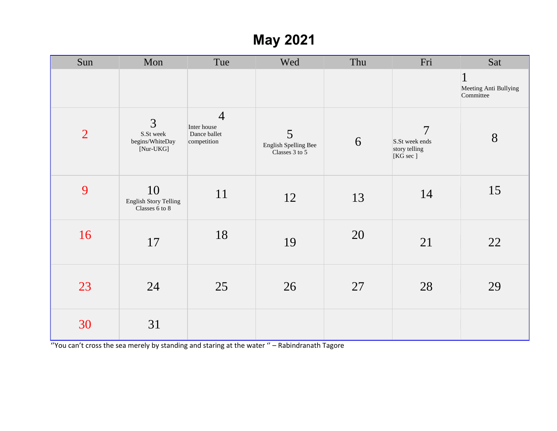## **May 2021**

| Sun            | Mon                                            | Tue                                                          | Wed                                         | Thu | Fri                                                           | Sat                                                |
|----------------|------------------------------------------------|--------------------------------------------------------------|---------------------------------------------|-----|---------------------------------------------------------------|----------------------------------------------------|
|                |                                                |                                                              |                                             |     |                                                               | $\mathbf{1}$<br>Meeting Anti Bullying<br>Committee |
| $\overline{2}$ | 3<br>S.St week<br>begins/WhiteDay<br>[Nur-UKG] | $\overline{4}$<br>Inter house<br>Dance ballet<br>competition | 5<br>English Spelling Bee<br>Classes 3 to 5 | 6   | $\overline{7}$<br>S.St week ends<br>story telling<br>[KG sec] | 8                                                  |
| 9              | 10<br>English Story Telling<br>Classes 6 to 8  | 11                                                           | 12                                          | 13  | 14                                                            | 15                                                 |
| 16             | 17                                             | 18                                                           | 19                                          | 20  | 21                                                            | 22                                                 |
| 23             | 24                                             | 25                                                           | 26                                          | 27  | 28                                                            | 29                                                 |
| 30             | 31                                             |                                                              |                                             |     |                                                               |                                                    |

''You can't cross the sea merely by standing and staring at the water '' – Rabindranath Tagore